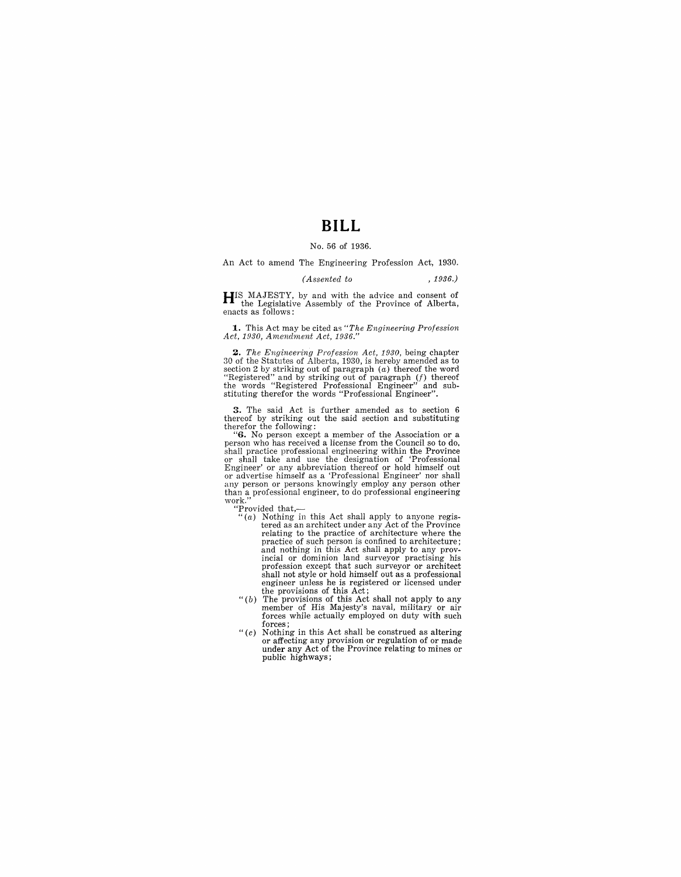# **BILL**

#### No. 56 of 1936.

An Act to amend The Engineering Profession Act, 1930.

#### *(Assented to* , 1936.)

**HIS** MAJESTY, by and with the advice and consent of the Legislative Assembly of the Province of Alberta, enacts as follows:

**1..** This Act may be cited as *"The Engineering Profession .4ct, 1930, Amendment Act, 1936."* 

**2.** The Engineering Profession Act, 1930, being chapter 30 of the Statutes of Alberta, 1930, is hereby amended as to section 2 by striking out of paragraph  $(a)$  thereof the word "Registered" and by striking out of paragr

**3.** The said Act is further amended as to section 6 thereof by striking out the said section and substituting therefor the following:<br>
"6. No person except a member of the Association or a

person who has received a license from the Council so to do, shall practice professional engineering within the Province or shall take and use the designation of 'Professional Engineer' or any abbreviation thereof or hold himself out or advertise himself as a 'Professional Engineer' nor shall any person or persons knowingly employ any person other than a professional engineer, to do professional engineering work."

- "Provided that,- "(a) Nothing in this Act shall apply to anyone registered as an architect under any Act of the Province relating to the practice of architecture where the practice of such person is confined to architecture; and nothing in this Act shall apply to any prov-incial or dominion land surveyor practising his profession except that such surveyor or architect shall not style or hold himself out as a professional
- engineer unless he is registered or licensed under<br>the provisions of this Act;<br>"(b) The provisions of this Act shall not apply to any<br>"member of His Majesty's naval, military or air<br>forces while actually employed on duty w forces;
- " $(c)$  Nothing in this Act shall be construed as altering or affecting any provision or regulation of or made under any Act of the Province relating to mines or public highways;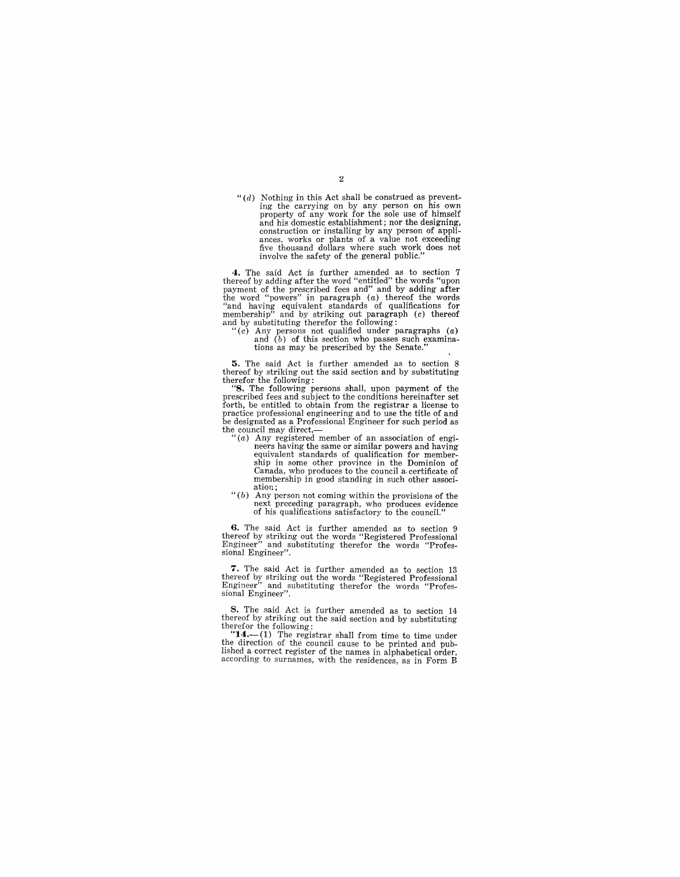*"(d)*  Nothing in this Act shall be construed as preventing the carrying on by any person on his own property of any work for the sole use of himself and his domestic establishment; nor the designing, construction or installing by any person of appli-ances, works or plants of a value not exceeding five thousand dollars where such work does not involve the safety of the general public."

**4.** The said Act is further amended as to section 7 thereof by adding after the word "entitled" the words "upon payment of the prescribed fees and" and by adding after the word "end by adding after "and having equivalent

tions as may be prescribed by the Senate."

**5.** The said Act is further amended as to section 8 thereof by striking out the said section and by substituting therefor the following:

"8. The following persons shall, upon payment of the prescribed fees and subject to the conditions hereinafter set forth, be entitled to obtain from the registrar a license to practice professional engineering and to use the title of and be designated as a Professional Engineer for such period as the council may direct,—

- "(a) Any registered member of an association of engineers having the same or similar powers and having equivalent standards of qualification for member-ship in some other province in the Dominion of Canada, who produces to the council a· certificate of membership in good standing in such other association;
- $" (b)$  Any person not coming within the provisions of the next preceding paragraph, who produces evidence of his qualifications satisfactory to the council."

**6.** The said Act is further amended as to section 9 thereof by striking out the words "Registered Professional Engineer".<br>Engineer" and substituting therefor the words "Profes-<br>sional Engineer".

7. The said Act is further amended as to section 13 thereof by striking out the words "Registered Professional Engineer" and substituting therefor the words "Profes-sional Engineer".

8. The said Act is further amended as to section 14 thereof by striking out the said section and by substituting therefor the following:

" $14$ —(1) The registrar shall from time to time under the direction of the council cause to be printed and pub-<br>lished a correct register of the names in alphabetical order, according to surnames, with the residences, as in Form B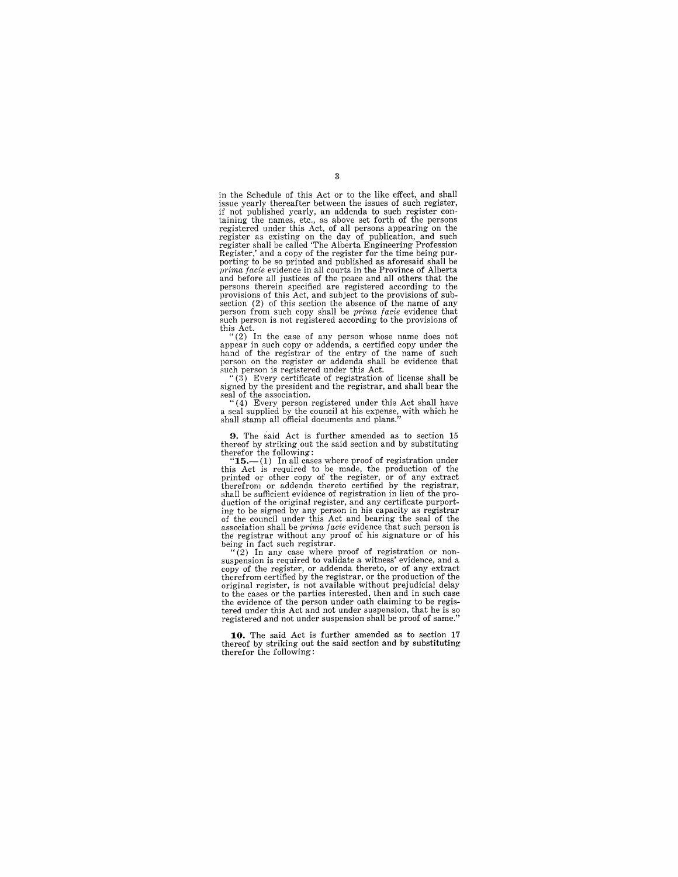in the Schedule of this Act or to the like effect, and shall issue yearly thereafter between the issues of such register, if not published yearly, an addenda to such register con- taining the names, etc., as above set forth of the persons registered under this Act, of all persons appearing on the register as existing on the day of publication, and such<br>register shall be called 'The Alberta Engineering Profession<br>Register,' and a copy of the register for the time being pur-<br>porting to be so printed and published as prima facie evidence in all courts in the Province of Alberta and before all justices of the peace and all others that the persons therein specified are registered according to the provisions of this Act, and subject to the provisions of subsection (2) of this section the absence of the name of any person from such copy shall be *prima facie* evidence that such person is not registered according to the provisions of this Act.

"(2) In the case of any person whose name does not appear in such copy or addenda, a certified copy under the hand of the registrar of the entry of the name of such person on the register or addenda shall be evidence that such person is registered under this Act.

" (3) Every certificate of registration of license shall be signed by the president and the registrar, and shall bear the seal of the association.

"( 4) Every person registered under this Act shall have a seal supplied by the council at his expense, with which he shall stamp all official documents and plans."

**9.** The said Act is further amended as to section 15 thereof by striking out the said section and by substituting therefor the following:

 $\text{``15.—(1)}$  In all cases where proof of registration under<br>this Act is required to be made, the production of the<br>printed or other copy of the register, or of any extract<br>therefrom or addenda thereto certified by the reg duction of the original register, and any certificate purporting to be signed by any person in his capacity as registrar of the council under this Act and bearing the seal of the association shall be *prima facie* evidence that such person is the registrar without any proof of his signature or of his being in fact such registrar.

"(2) In any case where proof of registration or non-<br>suspension is required to validate a witness' evidence, and a suspension is required to validate a witness' evidence, and a copy of the register, or addenda thereto, or of any extract therefrom certified by the registrar, or the production of the original register, is not available without prejudicial delay<br>to the cases or the parties interested, then and in such case the evidence of the person under oath claiming to be registered under this Act and not under suspension, that he is so registered and not under suspension shall be proof of same."

**10.** The said Act is further amended as to section **17**  thereof by striking out the said section and by substituting therefor the following: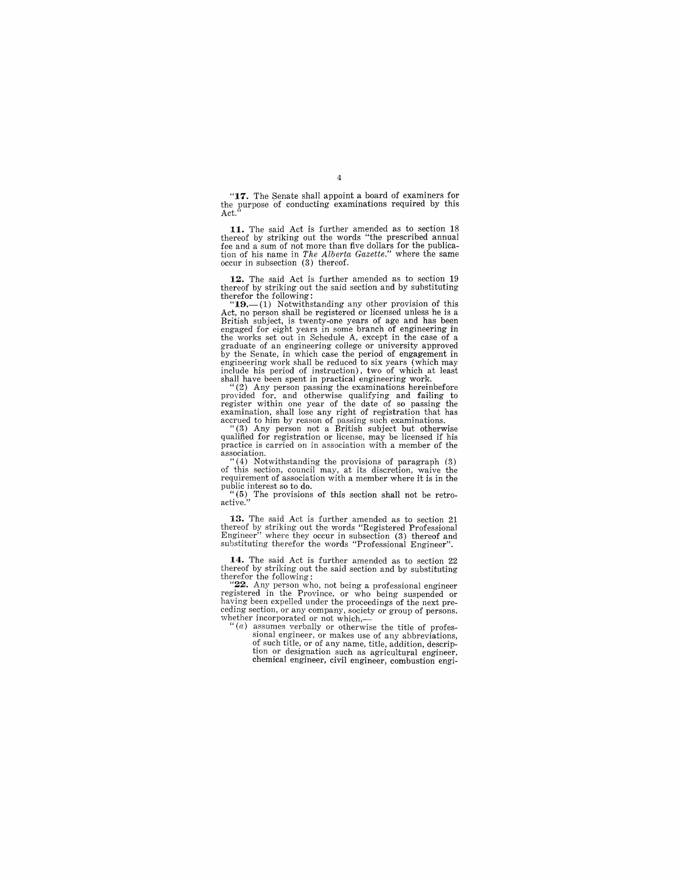**"17.** The Senate shall appoint a board of examiners for the purpose of conducting examinations required by this Act."

**11.** The said Act is further amended as to section 18 thereof by striking out the words "the prescribed annual fee and a sum of not more than five dollars for the publica-tion of his name in *The Alberta Gazette."* where the same occur in subsection (3) thereof.

**12.** The said Act is further amended as to section 19 thereof by striking out the said section and by substituting therefor the following:

" $19$ .-(1) Notwithstanding any other provision of this Act, no person shall be registered or licensed unless he is a British subject, is twenty-one years of age and has been engaged for eight years in some branch of engineering in graduate of an engineering college or university approved by the Senate, in which case the period of engagement in engineering work shall be reduced to six years (which may include his period of instruction), two of which at least shall have been spent in practical engineering work.

"(2) Any person passing the examinations hereinbefore provided for, and otherwise qualifying and failing to register within one year of the date of so passing the examination, shall lose any right of registration that has<br>accrued to him by reason of passing such examinations.<br>"(3) Any person not a British subject but otherwise<br>qualified for registration or license, may be licensed i

practice is carried on in association with a member of the  $\frac{1}{2}$ association.

 $(4)$  Notwithstanding the provisions of paragraph  $(3)$ of this section, council may, at its discretion, waive the requirement of association with a member where it is in the requirement of association with a member where it is in the public interest so to do.<br>"(5) The provisions of this section shall not be retro-<br>active."

**13.** The said Act is further amended as to section 21 thereof by striking out the words "Registered Professional Engineer" where they occur in subsection (3) thereof and substituting thereof end and substituting thereof a

14. The said Act is further amended as to section 22 thereof by striking out the said section and by substituting therefor the following:

" $22$ . Any person who, not being a professional engineer registered in the Province, or who being suspended or having been expelled under the proceedings of the next preceding section, or any company, society or group of persons, whether incorporated or not which,—

 $f'(a)$  assumes verbally or otherwise the title of professional engineer, or makes use of any abbreviations, of such title, or of any name, title, addition, description or designation such as agricultural engineer, chemical engineer, civil engineer, combustion engi-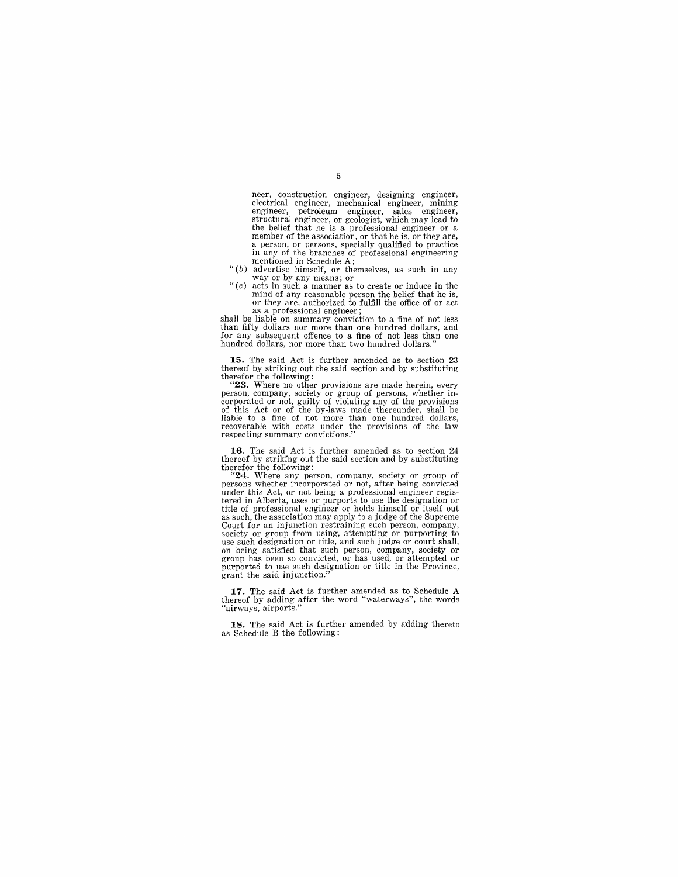neer, construction engineer, designing engineer, electrical engineer, mechanical engineer, mining engineer, petroleum engineer, sales engineer, structural engineer, or geologist, which may lead to the belief that he is a professional engineer or a member of the association, or that he is, or they are, a person, or persons, specially qualified to practice in any of the branches of professional engineering mentioned in Schedule A;

- $''(b)$  advertise himself, or themselves, as such in any way or by any means; or
- $C$  acts in such a manner as to create or induce in the mind of any reasonable person the belief that he is, or they are, authorized to fulfill the office of or act as a professional engineer;

shall be liable on summary conviction to a fine of not less than fifty dollars nor more than one hundred dollars, and for any subsequent offence to a fine of not less than one hundred dollars, nor more than two hundred dollars."

**15.** The said Act is further amended as to section 23 thereof by striking out the said section and by substituting

therefor the following: **"23.** Where no other provisions are made herein, every person, company, society or group of persons, whether incorporated or not, guilty of violating any of the provisions of this Act or of the by-laws made thereunder, shall be liable to a fine of not more than one hundred dol recoverable with costs under the provisions of the law respecting summary convictions."

**16.** The said Act is further amended as to section 24 thereof by striking out the said section and by substituting

therefor the following:<br>
"**24.** Where any person, company, society or group of<br>
persons whether incorporated or not, after being convicted<br>
under this Act, or not being a professional engineer registered in Alberta, uses or purports to use the designation or title of professional engineer or holds himself or itself out as such, the association may apply to a judge of the Supreme Court for an injunction restraining such person, company, society or group from using, attempting or purporting to use such designation or title, and such judge or court shall, as such a being satisfied that such person, company, society or<br>group has been so convicted, or has used, or attempted or<br>purported to use such designation or title in the Province, grant the said injunction."

**17.** The said Act is further amended as to Schedule A thereof by adding after the word "waterways", the words "airways, airports.

**18.** The said Act is further amended by adding thereto as Schedule B the following: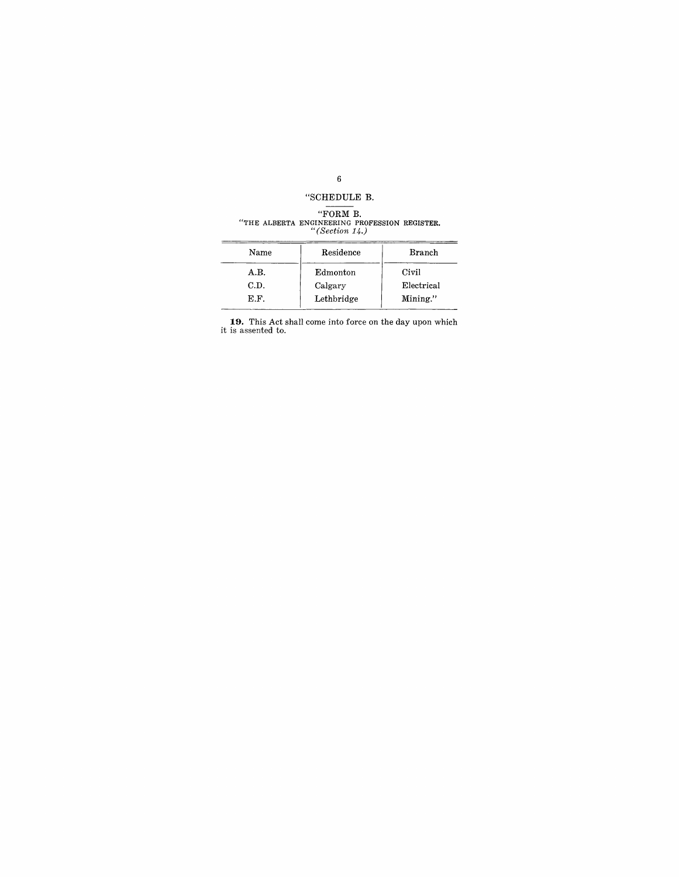#### 6

## "SCHEDULE B.

# "FORM B. "THE ALBERTA ENGINEERING PROFESSION REGISTER. *"(Section 14.)*

| Name | Residence  | <b>Branch</b> |
|------|------------|---------------|
| A.B. | Edmonton   | Civil         |
| C.D. | Calgary    | Electrical    |
| E.F. | Lethbridge | Mining."      |
|      |            |               |

**19.** This Act shall come into force on the day upon which it is assented to.